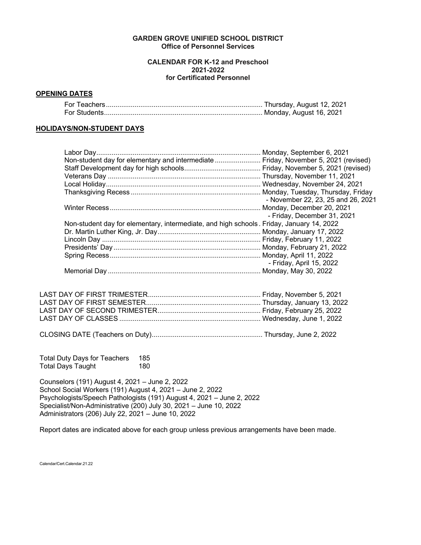## **GARDEN GROVE UNIFIED SCHOOL DISTRICT Office of Personnel Services**

## **CALENDAR FOR K-12 and Preschool 2021-2022 for Certificated Personnel**

## **OPENING DATES**

# **HOLIDAYS/NON-STUDENT DAYS**

| Non-student day for elementary and intermediate  Friday, November 5, 2021 (revised)      |
|------------------------------------------------------------------------------------------|
|                                                                                          |
|                                                                                          |
|                                                                                          |
|                                                                                          |
| - November 22, 23, 25 and 26, 2021                                                       |
|                                                                                          |
| - Friday, December 31, 2021                                                              |
| Non-student day for elementary, intermediate, and high schools. Friday, January 14, 2022 |
|                                                                                          |
|                                                                                          |
|                                                                                          |
|                                                                                          |
| - Friday, April 15, 2022                                                                 |
|                                                                                          |
|                                                                                          |

CLOSING DATE (Teachers on Duty).......................................................... Thursday, June 2, 2022

Total Duty Days for Teachers 185 Total Days Taught

Counselors (191) August 4, 2021 – June 2, 2022 School Social Workers (191) August 4, 2021 – June 2, 2022 Psychologists/Speech Pathologists (191) August 4, 2021 – June 2, 2022 Specialist/Non-Administrative (200) July 30, 2021 – June 10, 2022 Administrators (206) July 22, 2021 – June 10, 2022

Report dates are indicated above for each group unless previous arrangements have been made.

Calendar/Cert.Calendar.21.22